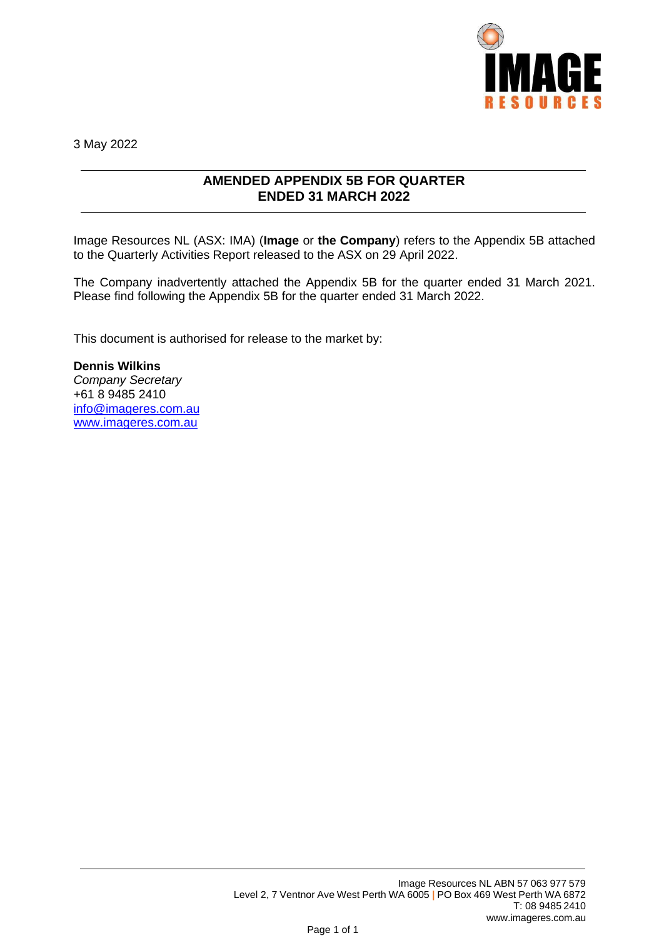

3 May 2022

## **AMENDED APPENDIX 5B FOR QUARTER ENDED 31 MARCH 2022**

Image Resources NL (ASX: IMA) (**Image** or **the Company**) refers to the Appendix 5B attached to the Quarterly Activities Report released to the ASX on 29 April 2022.

The Company inadvertently attached the Appendix 5B for the quarter ended 31 March 2021. Please find following the Appendix 5B for the quarter ended 31 March 2022.

This document is authorised for release to the market by:

**Dennis Wilkins** *Company Secretary* +61 8 9485 2410 [info@imageres.com.au](mailto:info@imageres.com.au) [www.imageres.com.au](http://www.imageres.com.au/)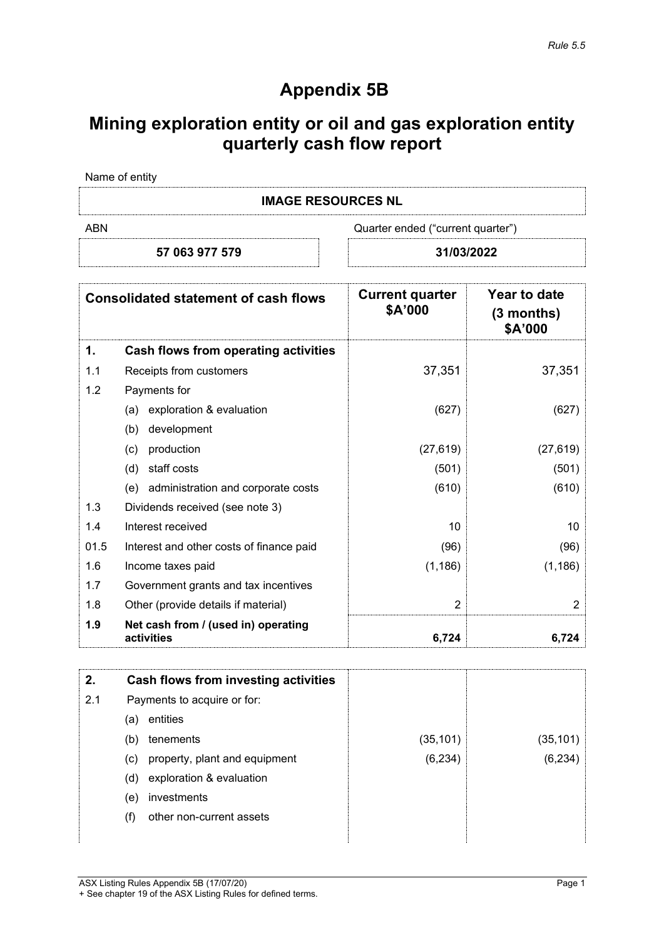## **Appendix 5B**

# **Mining exploration entity or oil and gas exploration entity quarterly cash flow report**

| Name of entity |  |  |
|----------------|--|--|
|                |  |  |

**IMAGE RESOURCES NL**

ABN Cuarter ended ("current quarter")

### **57 063 977 579 31/03/2022**

|      | <b>Consolidated statement of cash flows</b>       | <b>Current quarter</b><br>\$A'000 | Year to date<br>$(3$ months)<br>\$A'000 |
|------|---------------------------------------------------|-----------------------------------|-----------------------------------------|
| 1.   | Cash flows from operating activities              |                                   |                                         |
| 1.1  | Receipts from customers                           | 37,351                            | 37,351                                  |
| 1.2  | Payments for                                      |                                   |                                         |
|      | exploration & evaluation<br>(a)                   | (627)                             | (627)                                   |
|      | (b)<br>development                                |                                   |                                         |
|      | (c)<br>production                                 | (27, 619)                         | (27, 619)                               |
|      | staff costs<br>(d)                                | (501)                             | (501)                                   |
|      | administration and corporate costs<br>(e)         | (610)                             | (610)                                   |
| 1.3  | Dividends received (see note 3)                   |                                   |                                         |
| 1.4  | Interest received                                 | 10                                | 10                                      |
| 01.5 | Interest and other costs of finance paid          | (96)                              | (96)                                    |
| 1.6  | Income taxes paid                                 | (1, 186)                          | (1, 186)                                |
| 1.7  | Government grants and tax incentives              |                                   |                                         |
| 1.8  | Other (provide details if material)               | $\overline{2}$                    | 2                                       |
| 1.9  | Net cash from / (used in) operating<br>activities | 6,724                             | 6,724                                   |

| 2.  | Cash flows from investing activities |           |           |
|-----|--------------------------------------|-----------|-----------|
| 2.1 | Payments to acquire or for:          |           |           |
|     | entities<br>(a)                      |           |           |
|     | tenements<br>(b)                     | (35, 101) | (35, 101) |
|     | property, plant and equipment<br>(c) | (6, 234)  | (6, 234)  |
|     | exploration & evaluation<br>(d)      |           |           |
|     | investments<br>(e)                   |           |           |
|     | other non-current assets<br>(f)      |           |           |
|     |                                      |           |           |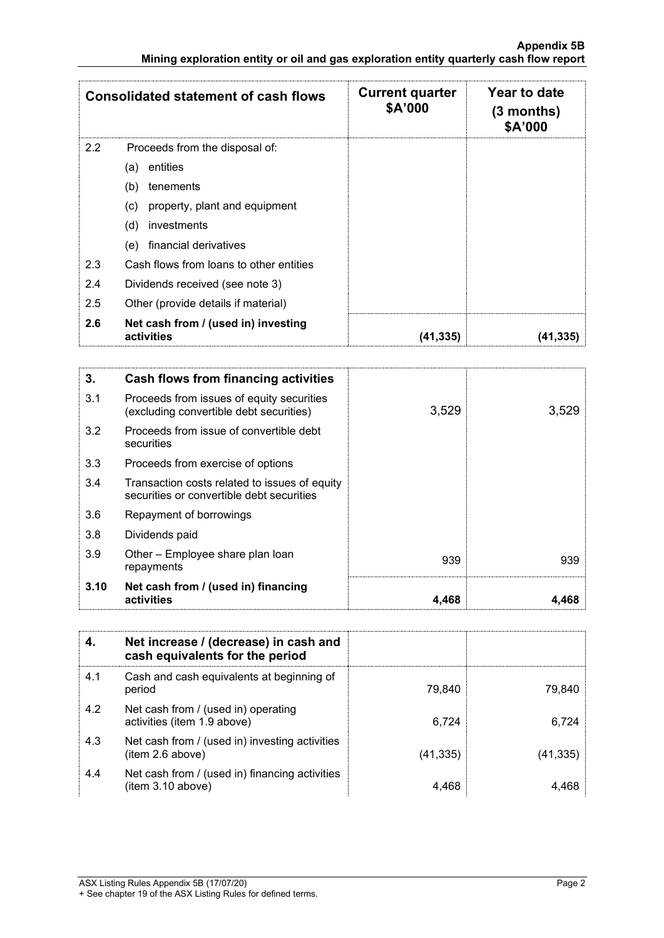|     | <b>Consolidated statement of cash flows</b>       | <b>Current quarter</b><br>\$A'000 | Year to date<br>$(3$ months)<br>\$A'000 |
|-----|---------------------------------------------------|-----------------------------------|-----------------------------------------|
| 2.2 | Proceeds from the disposal of:                    |                                   |                                         |
|     | entities<br>(a)                                   |                                   |                                         |
|     | (b)<br>tenements                                  |                                   |                                         |
|     | property, plant and equipment<br>(c)              |                                   |                                         |
|     | (d)<br>investments                                |                                   |                                         |
|     | financial derivatives<br>(e)                      |                                   |                                         |
| 2.3 | Cash flows from loans to other entities           |                                   |                                         |
| 2.4 | Dividends received (see note 3)                   |                                   |                                         |
| 2.5 | Other (provide details if material)               |                                   |                                         |
| 2.6 | Net cash from / (used in) investing<br>activities | (41,335)                          | (41,335)                                |

| 3.   | Cash flows from financing activities                                                       |       |       |
|------|--------------------------------------------------------------------------------------------|-------|-------|
| 3.1  | Proceeds from issues of equity securities<br>(excluding convertible debt securities)       | 3,529 | 3,529 |
| 3.2  | Proceeds from issue of convertible debt<br>securities                                      |       |       |
| 3.3  | Proceeds from exercise of options                                                          |       |       |
| 3.4  | Transaction costs related to issues of equity<br>securities or convertible debt securities |       |       |
| 3.6  | Repayment of borrowings                                                                    |       |       |
| 3.8  | Dividends paid                                                                             |       |       |
| 3.9  | Other - Employee share plan loan<br>repayments                                             | 939   | 939   |
| 3.10 | Net cash from / (used in) financing<br>activities                                          | 4,468 | 4.468 |

|     | Net increase / (decrease) in cash and<br>cash equivalents for the period |           |          |
|-----|--------------------------------------------------------------------------|-----------|----------|
| 4.1 | Cash and cash equivalents at beginning of<br>period                      | 79.840    | 79.840   |
| 4.2 | Net cash from / (used in) operating<br>activities (item 1.9 above)       | 6.724     | 6.724    |
| 4.3 | Net cash from / (used in) investing activities<br>item 2.6 above)        | (41, 335) | (41,335) |
| 4.4 | Net cash from / (used in) financing activities<br>(item 3.10 above)      | 4,468     | 4.468    |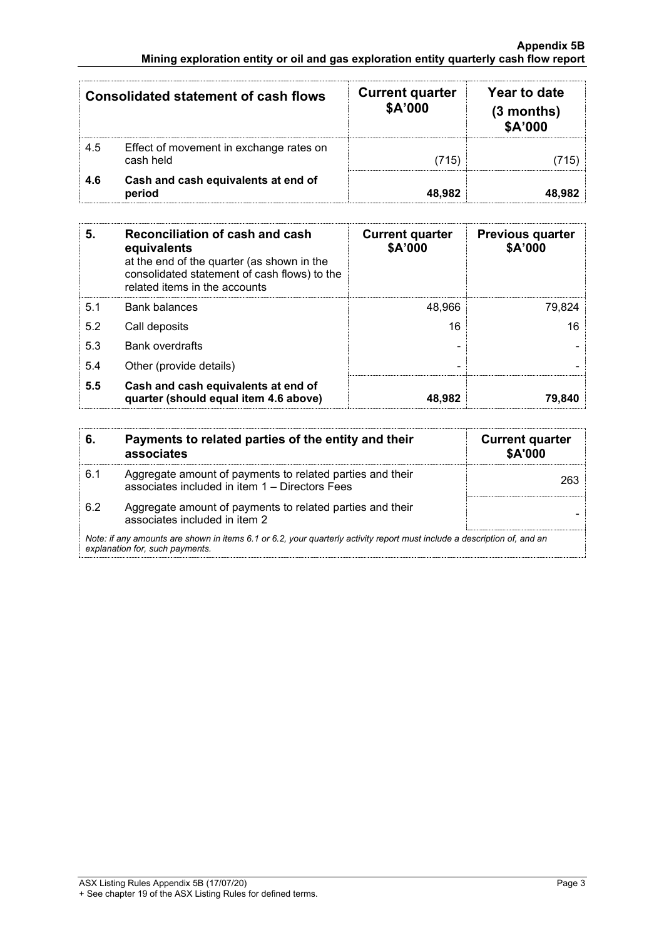|     | <b>Consolidated statement of cash flows</b>          | <b>Current quarter</b><br>\$A'000 | Year to date<br>$(3$ months)<br>\$A'000 |
|-----|------------------------------------------------------|-----------------------------------|-----------------------------------------|
| 4.5 | Effect of movement in exchange rates on<br>cash held | (715)                             | (715)                                   |
| 4.6 | Cash and cash equivalents at end of<br>period        | 48.982                            | 48,982                                  |

| 5.  | Reconciliation of cash and cash<br>equivalents<br>at the end of the quarter (as shown in the<br>consolidated statement of cash flows) to the<br>related items in the accounts | <b>Current quarter</b><br>\$A'000 | <b>Previous quarter</b><br>\$A'000 |
|-----|-------------------------------------------------------------------------------------------------------------------------------------------------------------------------------|-----------------------------------|------------------------------------|
| 5.1 | <b>Bank balances</b>                                                                                                                                                          | 48,966                            | 79,824                             |
| 5.2 | Call deposits                                                                                                                                                                 | 16                                | 16                                 |
| 5.3 | <b>Bank overdrafts</b>                                                                                                                                                        |                                   |                                    |
| 5.4 | Other (provide details)                                                                                                                                                       | -                                 |                                    |
| 5.5 | Cash and cash equivalents at end of<br>quarter (should equal item 4.6 above)                                                                                                  | 48,982                            | 79,840                             |

| 6.  | Payments to related parties of the entity and their<br>associates                                                                                           | <b>Current quarter</b><br>\$A'000 |
|-----|-------------------------------------------------------------------------------------------------------------------------------------------------------------|-----------------------------------|
| 6.1 | Aggregate amount of payments to related parties and their<br>associates included in item 1 - Directors Fees                                                 | 263                               |
| 6.2 | Aggregate amount of payments to related parties and their<br>associates included in item 2                                                                  |                                   |
|     | Note: if any amounts are shown in items 6.1 or 6.2, your quarterly activity report must include a description of, and an<br>explanation for, such payments. |                                   |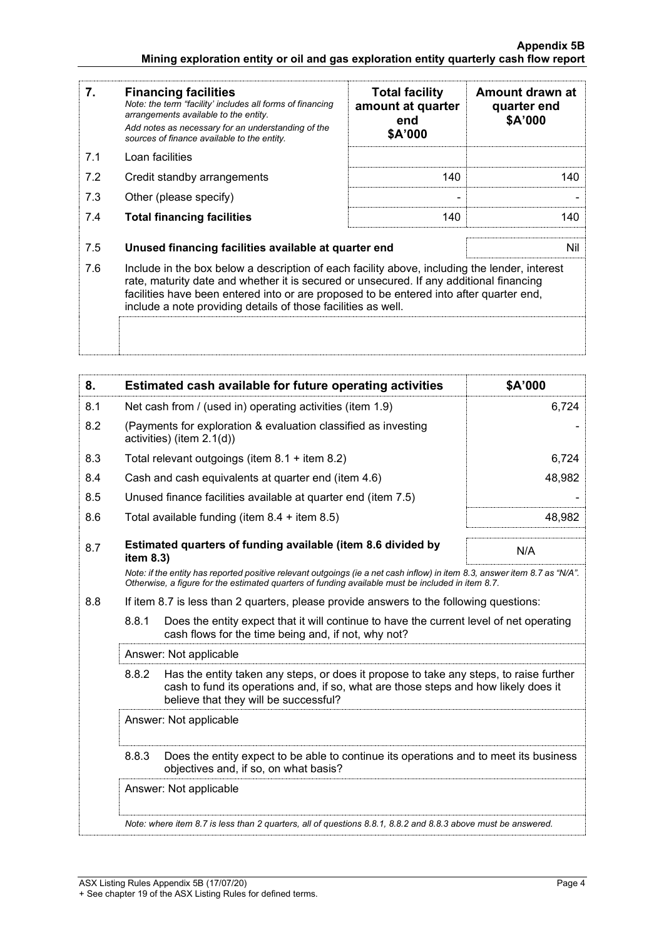| 7.  | <b>Financing facilities</b><br>Note: the term "facility' includes all forms of financing<br>arrangements available to the entity.<br>Add notes as necessary for an understanding of the<br>sources of finance available to the entity.                                                                                                               | <b>Total facility</b><br>amount at quarter<br>end<br>\$A'000 | Amount drawn at<br>quarter end<br>\$A'000 |
|-----|------------------------------------------------------------------------------------------------------------------------------------------------------------------------------------------------------------------------------------------------------------------------------------------------------------------------------------------------------|--------------------------------------------------------------|-------------------------------------------|
| 7.1 | Loan facilities                                                                                                                                                                                                                                                                                                                                      |                                                              |                                           |
| 7.2 | Credit standby arrangements                                                                                                                                                                                                                                                                                                                          | 140                                                          | 140                                       |
| 7.3 | Other (please specify)                                                                                                                                                                                                                                                                                                                               |                                                              |                                           |
| 7.4 | <b>Total financing facilities</b>                                                                                                                                                                                                                                                                                                                    | 140                                                          | 140                                       |
|     |                                                                                                                                                                                                                                                                                                                                                      |                                                              |                                           |
| 7.5 | Unused financing facilities available at quarter end                                                                                                                                                                                                                                                                                                 |                                                              | Nil                                       |
| 7.6 | Include in the box below a description of each facility above, including the lender, interest<br>rate, maturity date and whether it is secured or unsecured. If any additional financing<br>facilities have been entered into or are proposed to be entered into after quarter end,<br>include a note providing details of those facilities as well. |                                                              |                                           |
|     |                                                                                                                                                                                                                                                                                                                                                      |                                                              |                                           |

| 8.                                                                                                                                                                                                                              | Estimated cash available for future operating activities                                                                                                                                                                        | \$A'000 |  |
|---------------------------------------------------------------------------------------------------------------------------------------------------------------------------------------------------------------------------------|---------------------------------------------------------------------------------------------------------------------------------------------------------------------------------------------------------------------------------|---------|--|
| 8.1                                                                                                                                                                                                                             | Net cash from / (used in) operating activities (item 1.9)                                                                                                                                                                       | 6,724   |  |
| 8.2                                                                                                                                                                                                                             | (Payments for exploration & evaluation classified as investing<br>activities) (item 2.1(d))                                                                                                                                     |         |  |
| 8.3                                                                                                                                                                                                                             | Total relevant outgoings (item $8.1 +$ item $8.2$ )                                                                                                                                                                             | 6,724   |  |
| 8.4                                                                                                                                                                                                                             | Cash and cash equivalents at quarter end (item 4.6)                                                                                                                                                                             | 48,982  |  |
| 8.5                                                                                                                                                                                                                             | Unused finance facilities available at quarter end (item 7.5)                                                                                                                                                                   |         |  |
| 8.6                                                                                                                                                                                                                             | Total available funding (item 8.4 + item 8.5)                                                                                                                                                                                   | 48,982  |  |
| 8.7                                                                                                                                                                                                                             | Estimated quarters of funding available (item 8.6 divided by<br>item 8.3)                                                                                                                                                       | N/A     |  |
| Note: if the entity has reported positive relevant outgoings (ie a net cash inflow) in item 8.3, answer item 8.7 as "N/A".<br>Otherwise, a figure for the estimated quarters of funding available must be included in item 8.7. |                                                                                                                                                                                                                                 |         |  |
| 8.8                                                                                                                                                                                                                             | If item 8.7 is less than 2 quarters, please provide answers to the following questions:                                                                                                                                         |         |  |
|                                                                                                                                                                                                                                 | 8.8.1<br>Does the entity expect that it will continue to have the current level of net operating<br>cash flows for the time being and, if not, why not?                                                                         |         |  |
|                                                                                                                                                                                                                                 | Answer: Not applicable                                                                                                                                                                                                          |         |  |
|                                                                                                                                                                                                                                 | Has the entity taken any steps, or does it propose to take any steps, to raise further<br>8.8.2<br>cash to fund its operations and, if so, what are those steps and how likely does it<br>believe that they will be successful? |         |  |
|                                                                                                                                                                                                                                 | Answer: Not applicable                                                                                                                                                                                                          |         |  |
|                                                                                                                                                                                                                                 | 8.8.3<br>Does the entity expect to be able to continue its operations and to meet its business<br>objectives and, if so, on what basis?                                                                                         |         |  |
|                                                                                                                                                                                                                                 | Answer: Not applicable                                                                                                                                                                                                          |         |  |
|                                                                                                                                                                                                                                 | Note: where item 8.7 is less than 2 quarters, all of questions 8.8.1, 8.8.2 and 8.8.3 above must be answered.                                                                                                                   |         |  |